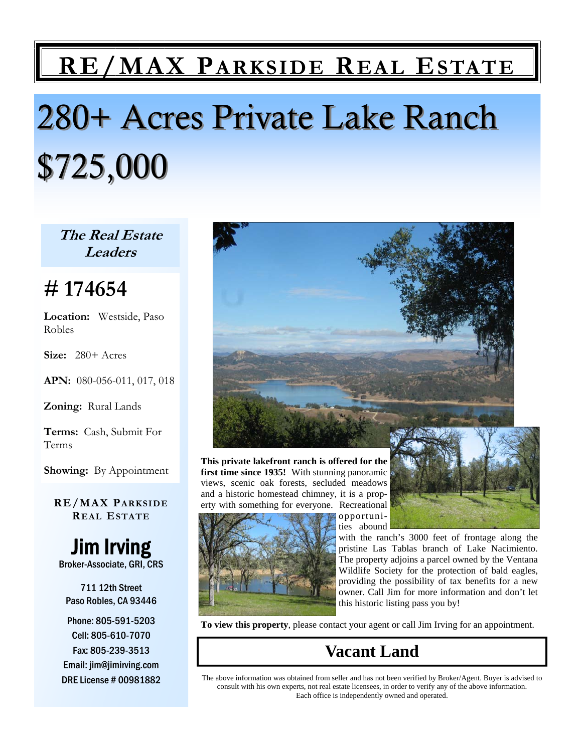## **RE/MAX PARKSIDE REAL ESTATE**

## 280+ Acres Private Lake Ranch 280+ Acres Private Lake Ranch \$725,000

**The Real Estate Leaders** 

## **# 174654**

**Location:** Westside, Paso Robles

**Size:** 280+ Acres

**APN:** 080-056-011, 017, 018

**Zoning:** Rural Lands

**Terms:** Cash, Submit For Terms

**Showing:** By Appointment

**RE/MAX PARKSIDE REAL ESTATE**



711 12th Street Paso Robles, CA 93446

Phone: 805-591-5203 Cell: 805-610-7070 Fax: 805-239-3513 Email: jim@jimirving.com DRE License # 00981882



**This private lakefront ranch is offered for the first time since 1935!** With stunning panoramic views, scenic oak forests, secluded meadows and a historic homestead chimney, it is a property with something for everyone. Recreational



opportunities abound

with the ranch's 3000 feet of frontage along the pristine Las Tablas branch of Lake Nacimiento. The property adjoins a parcel owned by the Ventana Wildlife Society for the protection of bald eagles, providing the possibility of tax benefits for a new owner. Call Jim for more information and don't let this historic listing pass you by!

**To view this property**, please contact your agent or call Jim Irving for an appointment.

## **Vacant Land**

The above information was obtained from seller and has not been verified by Broker/Agent. Buyer is advised to consult with his own experts, not real estate licensees, in order to verify any of the above information. Each office is independently owned and operated.